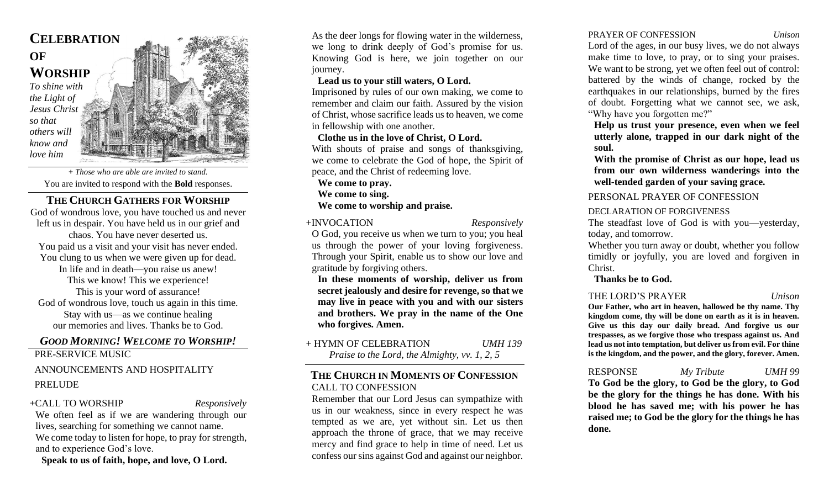## **CELEBRATION OF WORSHIP** *To shine with the Light of Jesus Christ so that others will know and love him*

*+ Those who are able are invited to stand.*  You are invited to respond with the **Bold** responses.

#### **THE CHURCH GATHERS FOR WORSHIP** God of wondrous love, you have touched us and never left us in despair. You have held us in our grief and chaos. You have never deserted us. You paid us a visit and your visit has never ended. You clung to us when we were given up for dead. In life and in death—you raise us anew! This we know! This we experience! This is your word of assurance! God of wondrous love, touch us again in this time. Stay with us—as we continue healing our memories and lives. Thanks be to God.

# *GOOD MORNING! WELCOME TO WORSHIP!*

PRE-SERVICE MUSIC

## ANNOUNCEMENTS AND HOSPITALITY PRELUDE

### +CALL TO WORSHIP *Responsively*

We often feel as if we are wandering through our lives, searching for something we cannot name. We come today to listen for hope, to pray for strength, and to experience God's love.

**Speak to us of faith, hope, and love, O Lord.**

As the deer longs for flowing water in the wilderness, we long to drink deeply of God's promise for us. Knowing God is here, we join together on our journey.

## **Lead us to your still waters, O Lord.**

Imprisoned by rules of our own making, we come to remember and claim our faith. Assured by the vision of Christ, whose sacrifice leads us to heaven, we come in fellowship with one another.

## **Clothe us in the love of Christ, O Lord.**

With shouts of praise and songs of thanksgiving, we come to celebrate the God of hope, the Spirit of peace, and the Christ of redeeming love.

**We come to pray.**

**We come to sing.**

## **We come to worship and praise.**

## +INVOCATION *Responsively*

O God, you receive us when we turn to you; you heal us through the power of your loving forgiveness. Through your Spirit, enable us to show our love and gratitude by forgiving others.

**In these moments of worship, deliver us from secret jealously and desire for revenge, so that we may live in peace with you and with our sisters and brothers. We pray in the name of the One who forgives. Amen.**

#### + HYMN OF CELEBRATION *UMH 139 Praise to the Lord, the Almighty, vv. 1, 2, 5*

## **THE CHURCH IN MOMENTS OF CONFESSION** CALL TO CONFESSION

Remember that our Lord Jesus can sympathize with us in our weakness, since in every respect he was tempted as we are, yet without sin. Let us then approach the throne of grace, that we may receive mercy and find grace to help in time of need. Let us confess our sins against God and against our neighbor.

### PRAYER OF CONFESSION *Unison*

Lord of the ages, in our busy lives, we do not always make time to love, to pray, or to sing your praises. We want to be strong, yet we often feel out of control: battered by the winds of change, rocked by the earthquakes in our relationships, burned by the fires of doubt. Forgetting what we cannot see, we ask, "Why have you forgotten me?"

**Help us trust your presence, even when we feel utterly alone, trapped in our dark night of the soul.**

**With the promise of Christ as our hope, lead us from our own wilderness wanderings into the well-tended garden of your saving grace.**

#### PERSONAL PRAYER OF CONFESSION

#### DECLARATION OF FORGIVENESS

The steadfast love of God is with you—yesterday, today, and tomorrow.

Whether you turn away or doubt, whether you follow timidly or joyfully, you are loved and forgiven in Christ.

**Thanks be to God.**

#### THE LORD'S PRAYER *Unison*

**Our Father, who art in heaven, hallowed be thy name. Thy kingdom come, thy will be done on earth as it is in heaven. Give us this day our daily bread. And forgive us our trespasses, as we forgive those who trespass against us. And lead us not into temptation, but deliver us from evil. For thine is the kingdom, and the power, and the glory, forever. Amen.**

# RESPONSE *My Tribute UMH 99*

**To God be the glory, to God be the glory, to God be the glory for the things he has done. With his blood he has saved me; with his power he has raised me; to God be the glory for the things he has done.**